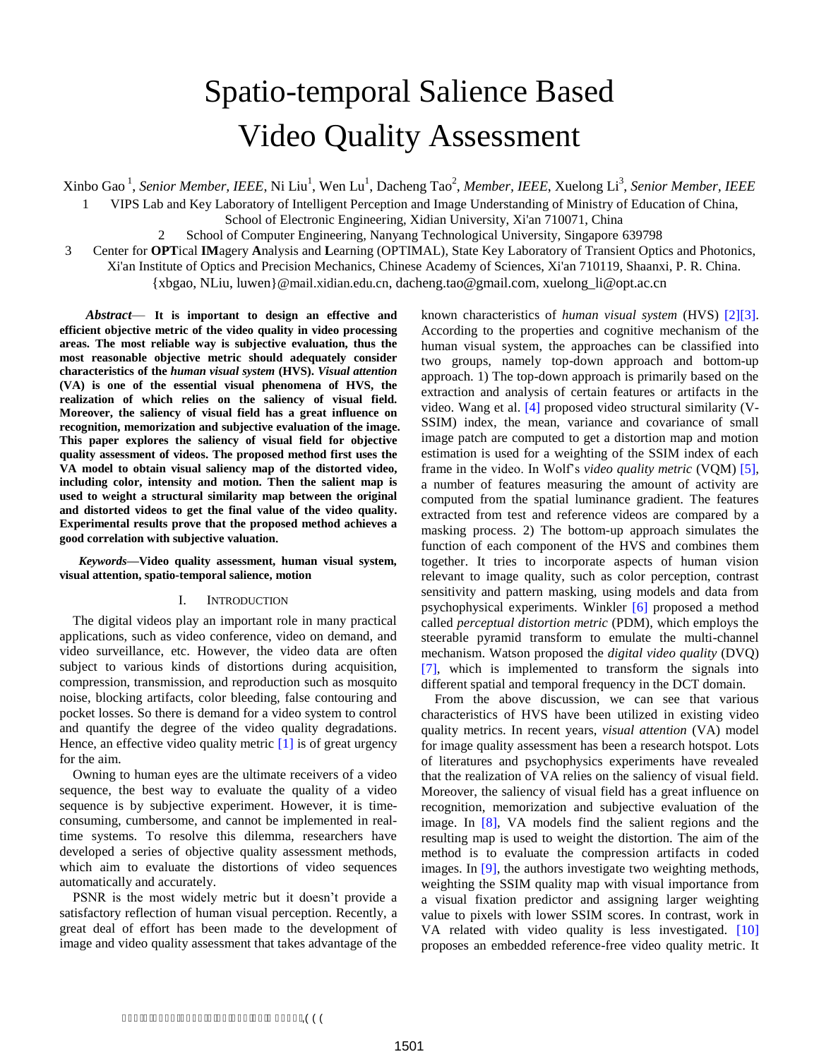# Spatio-temporal Salience Based Video Quality Assessment

Xinbo Gao <sup>1</sup>, *Senior Member, IEEE*, Ni Liu<sup>1</sup>, Wen Lu<sup>1</sup>, Dacheng Tao<sup>2</sup>, *Member, IEEE*, Xuelong Li<sup>3</sup>, *Senior Member, IEEE* 

1 VIPS Lab and Key Laboratory of Intelligent Perception and Image Understanding of Ministry of Education of China,

School of Electronic Engineering, Xidian University, Xi'an 710071, China

2 School of Computer Engineering, Nanyang Technological University, Singapore 639798

3 Center for **OPT**ical **IM**agery **A**nalysis and **L**earning (OPTIMAL), State Key Laboratory of Transient Optics and Photonics,

Xi'an Institute of Optics and Precision Mechanics, Chinese Academy of Sciences, Xi'an 710119, Shaanxi, P. R. China.

{xbgao, NLiu, luwen[}@mail.xidian.edu.cn](mailto:xbgao%7D@mail.xidian.edu.cn), dacheng.tao@gmail.com,xuelong\_li@opt.ac.cn

*Abstract*— **It is important to design an effective and efficient objective metric of the video quality in video processing areas. The most reliable way is subjective evaluation, thus the most reasonable objective metric should adequately consider characteristics of the** *human visual system* **(HVS).** *Visual attention* **(VA) is one of the essential visual phenomena of HVS, the realization of which relies on the saliency of visual field. Moreover, the saliency of visual field has a great influence on recognition, memorization and subjective evaluation of the image. This paper explores the saliency of visual field for objective quality assessment of videos. The proposed method first uses the VA model to obtain visual saliency map of the distorted video, including color, intensity and motion. Then the salient map is used to weight a structural similarity map between the original and distorted videos to get the final value of the video quality. Experimental results prove that the proposed method achieves a good correlation with subjective valuation**.

*Keywords—***Video quality assessment, human visual system, visual attention, spatio-temporal salience, motion** 

## I. INTRODUCTION

The digital videos play an important role in many practical applications, such as video conference, video on demand, and video surveillance, etc. However, the video data are often subject to various kinds of distortions during acquisition, compression, transmission, and reproduction such as mosquito noise, blocking artifacts, color bleeding, false contouring and pocket losses. So there is demand for a video system to control and quantify the degree of the video quality degradations. Hence, an effective video quality metric [\[1\]](#page-4-0) is of great urgency for the aim.

Owning to human eyes are the ultimate receivers of a video sequence, the best way to evaluate the quality of a video sequence is by subjective experiment. However, it is timeconsuming, cumbersome, and cannot be implemented in realtime systems. To resolve this dilemma, researchers have developed a series of objective quality assessment methods, which aim to evaluate the distortions of video sequences automatically and accurately.

PSNR is the most widely metric but it doesn"t provide a satisfactory reflection of human visual perception. Recently, a great deal of effort has been made to the development of image and video quality assessment that takes advantage of the

known characteristics of *human visual system* (HVS) [\[2\]\[3\].](#page-4-1) According to the properties and cognitive mechanism of the human visual system, the approaches can be classified into two groups, namely top-down approach and bottom-up approach. 1) The top-down approach is primarily based on the extraction and analysis of certain features or artifacts in the video. Wang et al. [\[4\]](#page-4-2) proposed video structural similarity (V-SSIM) index, the mean, variance and covariance of small image patch are computed to get a distortion map and motion estimation is used for a weighting of the SSIM index of each frame in the video. In Wolf"s *video quality metric* (VQM) [\[5\],](#page-4-3) a number of features measuring the amount of activity are computed from the spatial luminance gradient. The features extracted from test and reference videos are compared by a masking process. 2) The bottom-up approach simulates the function of each component of the HVS and combines them together. It tries to incorporate aspects of human vision relevant to image quality, such as color perception, contrast sensitivity and pattern masking, using models and data from psychophysical experiments. Winkler [\[6\]](#page-4-4) proposed a method called *perceptual distortion metric* (PDM), which employs the steerable pyramid transform to emulate the multi-channel mechanism. Watson proposed the *digital video quality* (DVQ) [\[7\],](#page-4-5) which is implemented to transform the signals into different spatial and temporal frequency in the DCT domain.

From the above discussion, we can see that various characteristics of HVS have been utilized in existing video quality metrics. In recent years, *visual attention* (VA) model for image quality assessment has been a research hotspot. Lots of literatures and psychophysics experiments have revealed that the realization of VA relies on the saliency of visual field. Moreover, the saliency of visual field has a great influence on recognition, memorization and subjective evaluation of the image. In [\[8\],](#page-4-6) VA models find the salient regions and the resulting map is used to weight the distortion. The aim of the method is to evaluate the compression artifacts in coded images. In [\[9\],](#page-4-7) the authors investigate two weighting methods, weighting the SSIM quality map with visual importance from a visual fixation predictor and assigning larger weighting value to pixels with lower SSIM scores. In contrast, work in VA related with video quality is less investigated. [\[10\]](#page-4-8) proposes an embedded reference-free video quality metric. It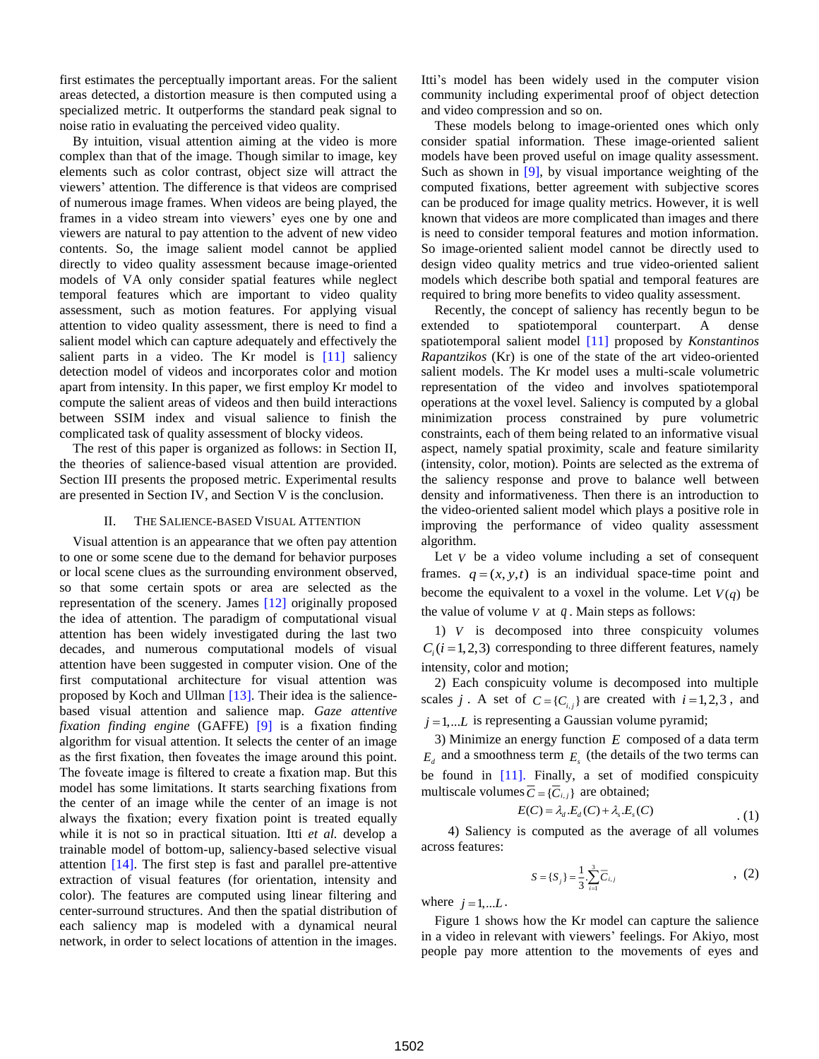first estimates the perceptually important areas. For the salient areas detected, a distortion measure is then computed using a specialized metric. It outperforms the standard peak signal to noise ratio in evaluating the perceived video quality.

By intuition, visual attention aiming at the video is more complex than that of the image. Though similar to image, key elements such as color contrast, object size will attract the viewers" attention. The difference is that videos are comprised of numerous image frames. When videos are being played, the frames in a video stream into viewers' eyes one by one and viewers are natural to pay attention to the advent of new video contents. So, the image salient model cannot be applied directly to video quality assessment because image-oriented models of VA only consider spatial features while neglect temporal features which are important to video quality assessment, such as motion features. For applying visual attention to video quality assessment, there is need to find a salient model which can capture adequately and effectively the salient parts in a video. The Kr model is [\[11\]](#page-4-9) saliency detection model of videos and incorporates color and motion apart from intensity. In this paper, we first employ Kr model to compute the salient areas of videos and then build interactions between SSIM index and visual salience to finish the complicated task of quality assessment of blocky videos.

The rest of this paper is organized as follows: in Section II, the theories of salience-based visual attention are provided. Section III presents the proposed metric. Experimental results are presented in Section IV, and Section V is the conclusion.

## II. THE SALIENCE-BASED VISUAL ATTENTION

Visual attention is an appearance that we often pay attention to one or some scene due to the demand for behavior purposes or local scene clues as the surrounding environment observed, so that some certain spots or area are selected as the representation of the scenery. James [\[12\]](#page-4-10) originally proposed the idea of attention. The paradigm of computational visual attention has been widely investigated during the last two decades, and numerous computational models of visual attention have been suggested in computer vision. One of the first computational architecture for visual attention was proposed by Koch and Ullman [\[13\].](#page-4-11) Their idea is the saliencebased visual attention and salience map. *Gaze attentive fixation finding engine* (GAFFE) [\[9\]](#page-4-7) is a fixation finding algorithm for visual attention. It selects the center of an image as the first fixation, then foveates the image around this point. The foveate image is filtered to create a fixation map. But this model has some limitations. It starts searching fixations from the center of an image while the center of an image is not always the fixation; every fixation point is treated equally while it is not so in practical situation. Itti *et al.* develop a trainable model of bottom-up, saliency-based selective visual attention [\[14\].](#page-4-12) The first step is fast and parallel pre-attentive extraction of visual features (for orientation, intensity and color). The features are computed using linear filtering and center-surround structures. And then the spatial distribution of each saliency map is modeled with a dynamical neural network, in order to select locations of attention in the images. Itti"s model has been widely used in the computer vision community including experimental proof of object detection and video compression and so on.

These models belong to image-oriented ones which only consider spatial information. These image-oriented salient models have been proved useful on image quality assessment. Such as shown in [\[9\],](#page-4-7) by visual importance weighting of the computed fixations, better agreement with subjective scores can be produced for image quality metrics. However, it is well known that videos are more complicated than images and there is need to consider temporal features and motion information. So image-oriented salient model cannot be directly used to design video quality metrics and true video-oriented salient models which describe both spatial and temporal features are required to bring more benefits to video quality assessment.

Recently, the concept of saliency has recently begun to be extended to spatiotemporal counterpart. A dense spatiotemporal salient model [\[11\]](#page-4-9) proposed by *Konstantinos Rapantzikos* (Kr) is one of the state of the art video-oriented salient models. The Kr model uses a multi-scale volumetric representation of the video and involves spatiotemporal operations at the voxel level. Saliency is computed by a global minimization process constrained by pure volumetric constraints, each of them being related to an informative visual aspect, namely spatial proximity, scale and feature similarity (intensity, color, motion). Points are selected as the extrema of the saliency response and prove to balance well between density and informativeness. Then there is an introduction to the video-oriented salient model which plays a positive role in improving the performance of video quality assessment algorithm.

Let  $V$  be a video volume including a set of consequent frames.  $q = (x, y, t)$  is an individual space-time point and become the equivalent to a voxel in the volume. Let  $V(q)$  be the value of volume  $V$  at  $q$ . Main steps as follows:

1) *V* is decomposed into three conspicuity volumes  $C_i$  ( $i = 1,2,3$ ) corresponding to three different features, namely intensity, color and motion;

2) Each conspicuity volume is decomposed into multiple scales *j*. A set of  $C = \{C_{i,j}\}\$ are created with  $i = 1, 2, 3$ , and  $j = 1,...L$  is representing a Gaussian volume pyramid;

3) Minimize an energy function *E* composed of a data term  $E_d$  and a smoothness term  $E_s$  (the details of the two terms can be found in [\[11\].](#page-4-9) Finally, a set of modified conspicuity multiscale volumes  $\overline{C} = {\overline{C}_{i,j}}$  are obtained;

$$
E(C) = \lambda_d.E_d(C) + \lambda_s.E_s(C)
$$
 (1)

4) Saliency is computed as the average of all volumes across features:

$$
S = \{S_j\} = \frac{1}{3} \sum_{i=1}^{3} \overline{C}_{i,j} \tag{2}
$$

where  $j = 1,...L$ .

Figure 1 shows how the Kr model can capture the salience in a video in relevant with viewers' feelings. For Akiyo, most people pay more attention to the movements of eyes and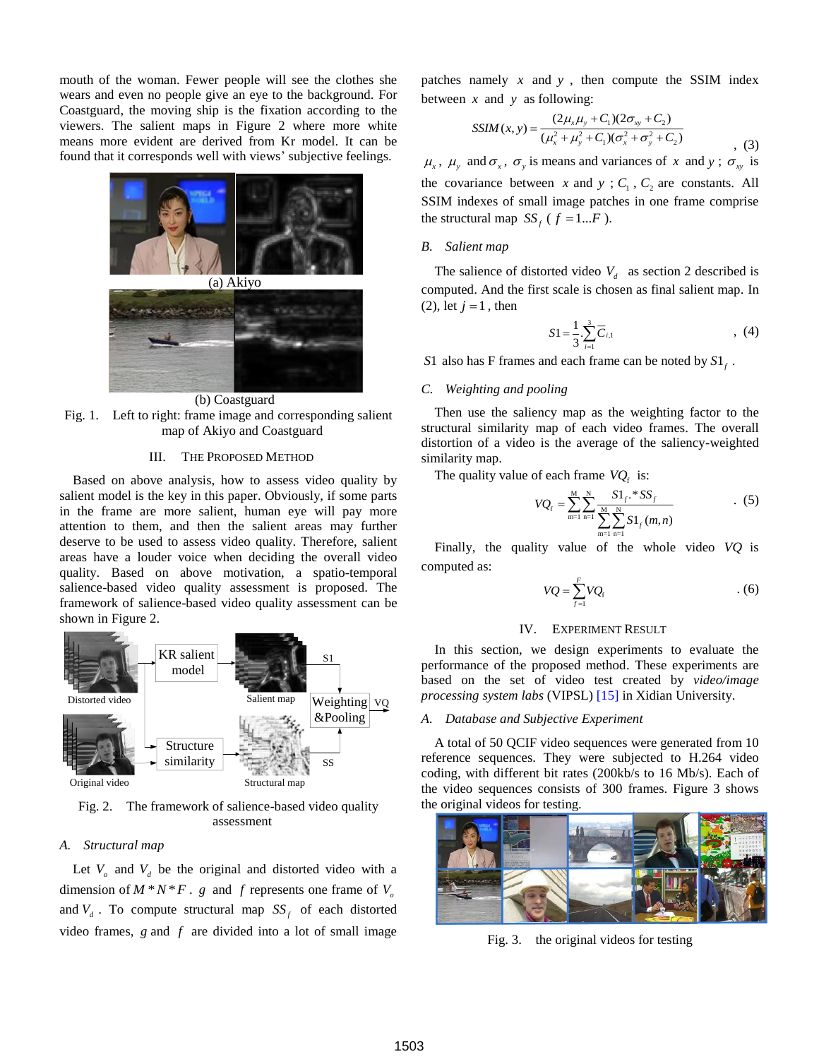mouth of the woman. Fewer people will see the clothes she wears and even no people give an eye to the background. For Coastguard, the moving ship is the fixation according to the viewers. The salient maps in Figure 2 where more white means more evident are derived from Kr model. It can be found that it corresponds well with views' subjective feelings.



(b) Coastguard Fig. 1. Left to right: frame image and corresponding salient map of Akiyo and Coastguard

## III. THE PROPOSED METHOD

Based on above analysis, how to assess video quality by salient model is the key in this paper. Obviously, if some parts in the frame are more salient, human eye will pay more attention to them, and then the salient areas may further deserve to be used to assess video quality. Therefore, salient areas have a louder voice when deciding the overall video quality. Based on above motivation, a spatio-temporal salience-based video quality assessment is proposed. The framework of salience-based video quality assessment can be shown in Figure 2.



Fig. 2. The framework of salience-based video quality assessment

## *A. Structural map*

Let  $V$ <sup> $\sigma$ </sup> and  $V$ <sup> $d$ </sup> be the original and distorted video with a dimension of  $M^*N^*F$ . *g* and *f* represents one frame of  $V_o$ and  $V_d$ . To compute structural map  $SS_f$  of each distorted video frames,  $g$  and  $f$  are divided into a lot of small image

patches namely  $x$  and  $y$ , then compute the SSIM index between  $x$  and  $y$  as following:

$$
SSIM(x, y) = \frac{(2\mu_x \mu_y + C_1)(2\sigma_{xy} + C_2)}{(\mu_x^2 + \mu_y^2 + C_1)(\sigma_x^2 + \sigma_y^2 + C_2)}
$$
\n(3)

 $\mu_x$ ,  $\mu_y$  and  $\sigma_x$ ,  $\sigma_y$  is means and variances of x and y;  $\sigma_{xy}$  is the covariance between x and y;  $C_1$ ,  $C_2$  are constants. All SSIM indexes of small image patches in one frame comprise the structural map  $SS_f$  ( $f = 1...F$ ).

#### *B. Salient map*

The salience of distorted video  $V<sub>d</sub>$  as section 2 described is computed. And the first scale is chosen as final salient map. In  $(2)$ , let  $j = 1$ , then

$$
S1 = \frac{1}{3} \sum_{i=1}^{3} \overline{C}_{i,1} \tag{4}
$$

S<sup>1</sup> also has F frames and each frame can be noted by  $S1_f$ .

## *C. Weighting and pooling*

Then use the saliency map as the weighting factor to the structural similarity map of each video frames. The overall distortion of a video is the average of the saliency-weighted similarity map.

The quality value of each frame  $VQ_f$  is:

$$
VQ_{\rm f} = \sum_{\rm m=1}^{\rm M} \sum_{\rm n=1}^{\rm N} \frac{S1_{\rm f} \cdot S S_{\rm f}}{\sum_{\rm m=1}^{\rm M} \sum_{\rm n=1}^{\rm N} S1_{\rm f}(m,n)} \tag{5}
$$

Finally, the quality value of the whole video *VQ* is computed as:

$$
VQ = \sum_{f=1}^{F} VQ_f \tag{6}
$$

#### IV. EXPERIMENT RESULT

In this section, we design experiments to evaluate the performance of the proposed method. These experiments are based on the set of video test created by *video/image processing system labs* (VIPSL) [\[15\]](#page-4-13) in Xidian University.

## *A. Database and Subjective Experiment*

A total of 50 QCIF video sequences were generated from 10 reference sequences. They were subjected to H.264 video coding, with different bit rates (200kb/s to 16 Mb/s). Each of the video sequences consists of 300 frames. Figure 3 shows the original videos for testing.



Fig. 3. the original videos for testing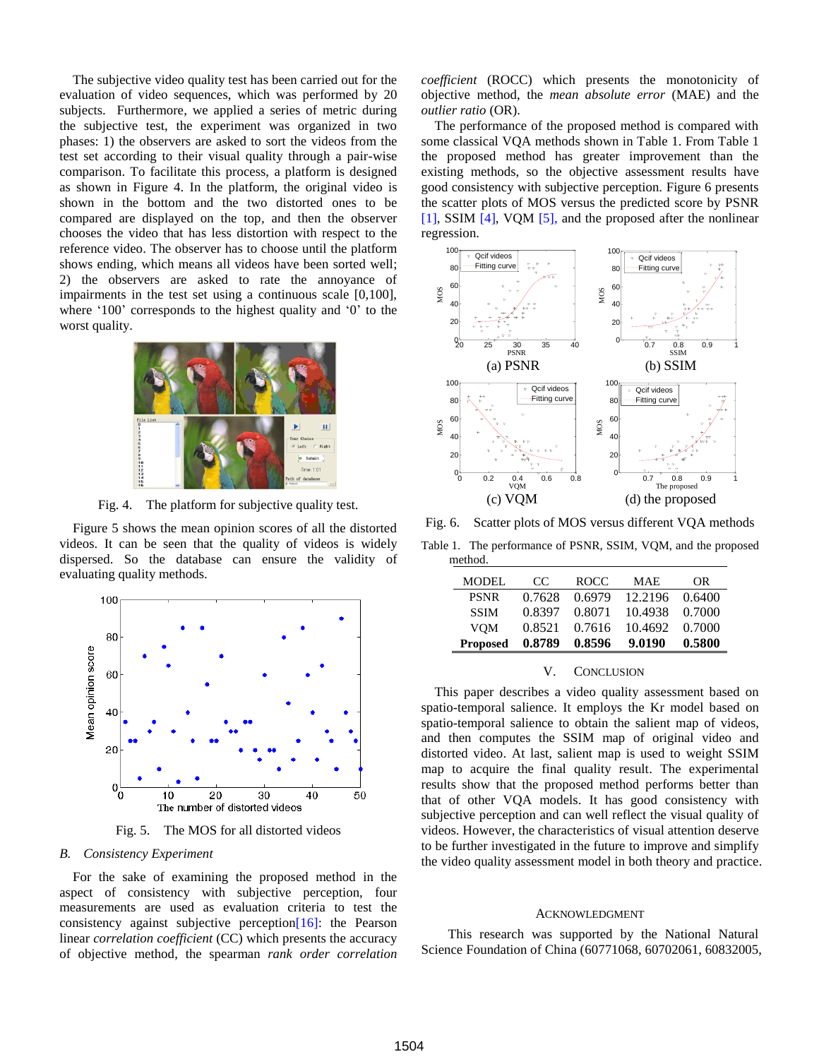The subjective video quality test has been carried out for the evaluation of video sequences, which was performed by 20 subjects. Furthermore, we applied a series of metric during the subjective test, the experiment was organized in two phases: 1) the observers are asked to sort the videos from the test set according to their visual quality through a pair-wise comparison. To facilitate this process, a platform is designed as shown in Figure 4. In the platform, the original video is shown in the bottom and the two distorted ones to be compared are displayed on the top, and then the observer chooses the video that has less distortion with respect to the reference video. The observer has to choose until the platform shows ending, which means all videos have been sorted well; 2) the observers are asked to rate the annoyance of impairments in the test set using a continuous scale [0,100], where '100' corresponds to the highest quality and '0' to the worst quality.



Fig. 4. The platform for subjective quality test.

Figure 5 shows the mean opinion scores of all the distorted videos. It can be seen that the quality of videos is widely dispersed. So the database can ensure the validity of evaluating quality methods.



Fig. 5. The MOS for all distorted videos

## *B. Consistency Experiment*

For the sake of examining the proposed method in the aspect of consistency with subjective perception, four measurements are used as evaluation criteria to test the consistency against subjective perception  $[16]$ : the Pearson linear *correlation coefficient* (CC) which presents the accuracy of objective method, the spearman *rank order correlation*  *coefficient* (ROCC) which presents the monotonicity of objective method, the *mean absolute error* (MAE) and the *outlier ratio* (OR).

The performance of the proposed method is compared with some classical VQA methods shown in Table 1. From Table 1 the proposed method has greater improvement than the existing methods, so the objective assessment results have good consistency with subjective perception. Figure 6 presents the scatter plots of MOS versus the predicted score by PSNR [\[1\],](#page-4-0) SSIM [\[4\],](#page-4-2) VQM [\[5\],](#page-4-3) and the proposed after the nonlinear regression.



Fig. 6. Scatter plots of MOS versus different VQA methods

Table 1. The performance of PSNR, SSIM, VQM, and the proposed method.

| MODEL           | $C$ C  | <b>ROCC</b> | MAE.    | OR     |
|-----------------|--------|-------------|---------|--------|
| <b>PSNR</b>     | 0.7628 | 0.6979      | 12.2196 | 0.6400 |
| <b>SSIM</b>     | 0.8397 | 0.8071      | 10.4938 | 0.7000 |
| <b>VOM</b>      | 0.8521 | 0.7616      | 10.4692 | 0.7000 |
| <b>Proposed</b> | 0.8789 | 0.8596      | 9.0190  | 0.5800 |

## V. CONCLUSION

This paper describes a video quality assessment based on spatio-temporal salience. It employs the Kr model based on spatio-temporal salience to obtain the salient map of videos, and then computes the SSIM map of original video and distorted video. At last, salient map is used to weight SSIM map to acquire the final quality result. The experimental results show that the proposed method performs better than that of other VQA models. It has good consistency with subjective perception and can well reflect the visual quality of videos. However, the characteristics of visual attention deserve to be further investigated in the future to improve and simplify the video quality assessment model in both theory and practice.

#### ACKNOWLEDGMENT

This research was supported by the National Natural Science Foundation of China (60771068, 60702061, 60832005,